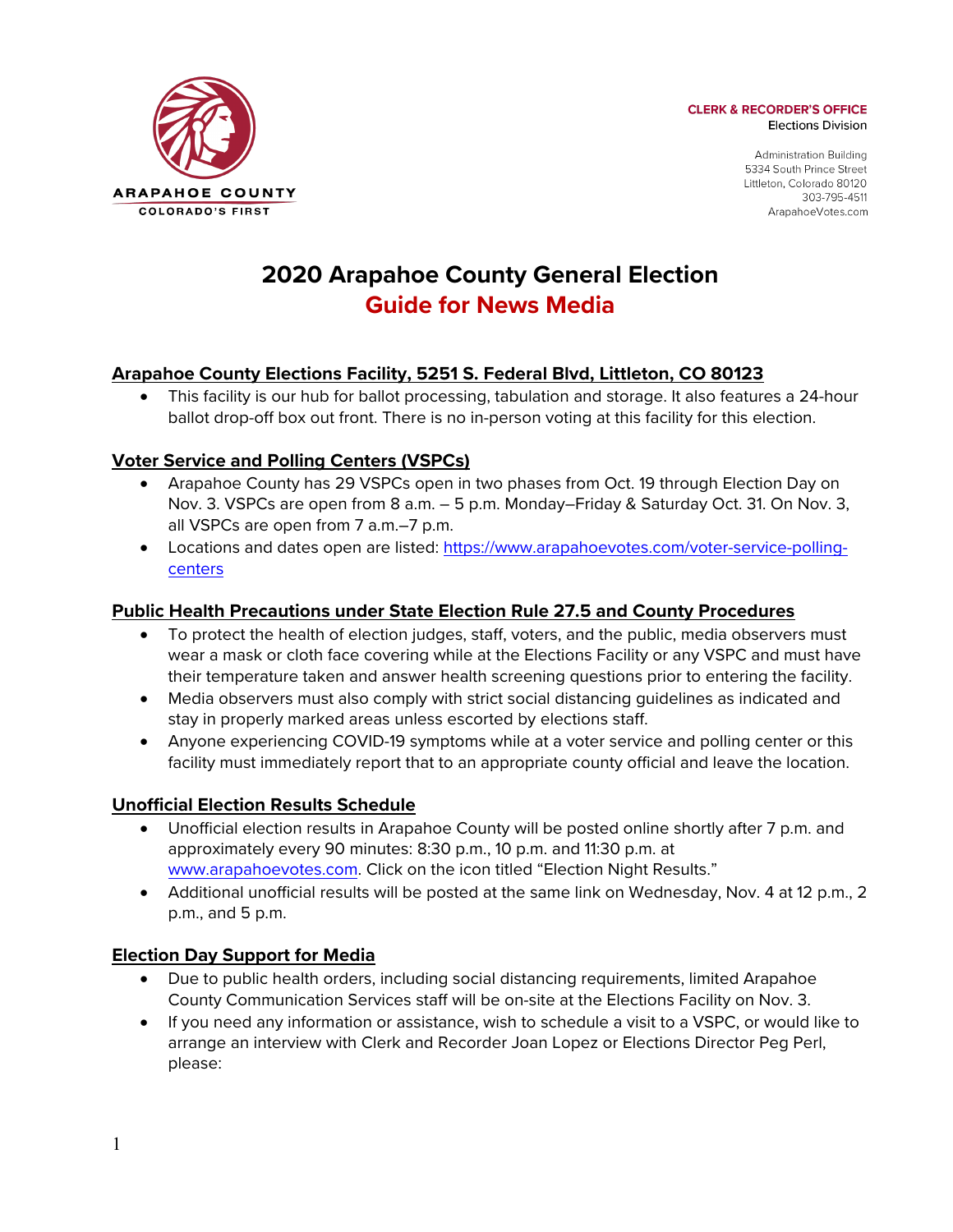

**CLERK & RECORDER'S OFFICE Elections Division** 

> **Administration Building** 5334 South Prince Street Littleton, Colorado 80120 303-795-4511 ArapahoeVotes.com

# **2020 Arapahoe County General Election Guide for News Media**

# **Arapahoe County Elections Facility, 5251 S. Federal Blvd, Littleton, CO 80123**

• This facility is our hub for ballot processing, tabulation and storage. It also features a 24-hour ballot drop-off box out front. There is no in-person voting at this facility for this election.

## **Voter Service and Polling Centers (VSPCs)**

- Arapahoe County has 29 VSPCs open in two phases from Oct. 19 through Election Day on Nov. 3. VSPCs are open from 8 a.m. – 5 p.m. Monday–Friday & Saturday Oct. 31. On Nov. 3, all VSPCs are open from 7 a.m.–7 p.m.
- Locations and dates open are listed: https://www.arapahoevotes.com/voter-service-pollingcenters

## **Public Health Precautions under State Election Rule 27.5 and County Procedures**

- To protect the health of election judges, staff, voters, and the public, media observers must wear a mask or cloth face covering while at the Elections Facility or any VSPC and must have their temperature taken and answer health screening questions prior to entering the facility.
- Media observers must also comply with strict social distancing guidelines as indicated and stay in properly marked areas unless escorted by elections staff.
- Anyone experiencing COVID-19 symptoms while at a voter service and polling center or this facility must immediately report that to an appropriate county official and leave the location.

## **Unofficial Election Results Schedule**

- Unofficial election results in Arapahoe County will be posted online shortly after 7 p.m. and approximately every 90 minutes: 8:30 p.m., 10 p.m. and 11:30 p.m. at www.arapahoevotes.com. Click on the icon titled "Election Night Results."
- Additional unofficial results will be posted at the same link on Wednesday, Nov. 4 at 12 p.m., 2 p.m., and 5 p.m.

## **Election Day Support for Media**

- Due to public health orders, including social distancing requirements, limited Arapahoe County Communication Services staff will be on-site at the Elections Facility on Nov. 3.
- If you need any information or assistance, wish to schedule a visit to a VSPC, or would like to arrange an interview with Clerk and Recorder Joan Lopez or Elections Director Peg Perl, please: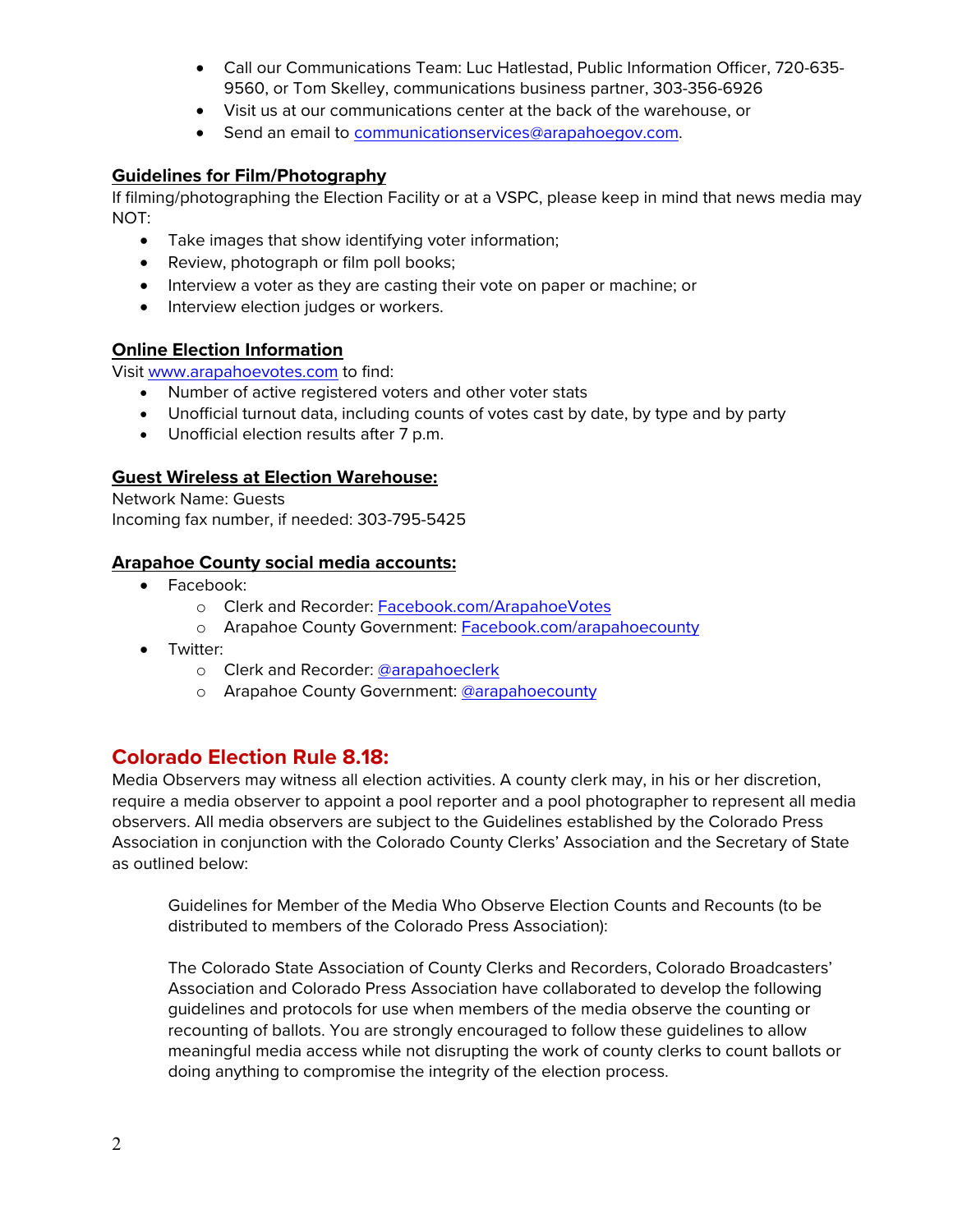- Call our Communications Team: Luc Hatlestad, Public Information Officer, 720-635- 9560, or Tom Skelley, communications business partner, 303-356-6926
- Visit us at our communications center at the back of the warehouse, or
- Send an email to communicationservices@arapahoegov.com.

### **Guidelines for Film/Photography**

If filming/photographing the Election Facility or at a VSPC, please keep in mind that news media may NOT:

- Take images that show identifying voter information;
- Review, photograph or film poll books;
- Interview a voter as they are casting their vote on paper or machine; or
- Interview election judges or workers.

### **Online Election Information**

Visit www.arapahoevotes.com to find:

- Number of active registered voters and other voter stats
- Unofficial turnout data, including counts of votes cast by date, by type and by party
- Unofficial election results after 7 p.m.

#### **Guest Wireless at Election Warehouse:**

Network Name: Guests Incoming fax number, if needed: 303-795-5425

#### **Arapahoe County social media accounts:**

- Facebook:
	- o Clerk and Recorder: Facebook.com/ArapahoeVotes
	- o Arapahoe County Government: Facebook.com/arapahoecounty
- Twitter:
	- o Clerk and Recorder: @arapahoeclerk
	- o Arapahoe County Government: @arapahoecounty

## **Colorado Election Rule 8.18:**

Media Observers may witness all election activities. A county clerk may, in his or her discretion, require a media observer to appoint a pool reporter and a pool photographer to represent all media observers. All media observers are subject to the Guidelines established by the Colorado Press Association in conjunction with the Colorado County Clerks' Association and the Secretary of State as outlined below:

Guidelines for Member of the Media Who Observe Election Counts and Recounts (to be distributed to members of the Colorado Press Association):

The Colorado State Association of County Clerks and Recorders, Colorado Broadcasters' Association and Colorado Press Association have collaborated to develop the following guidelines and protocols for use when members of the media observe the counting or recounting of ballots. You are strongly encouraged to follow these guidelines to allow meaningful media access while not disrupting the work of county clerks to count ballots or doing anything to compromise the integrity of the election process.